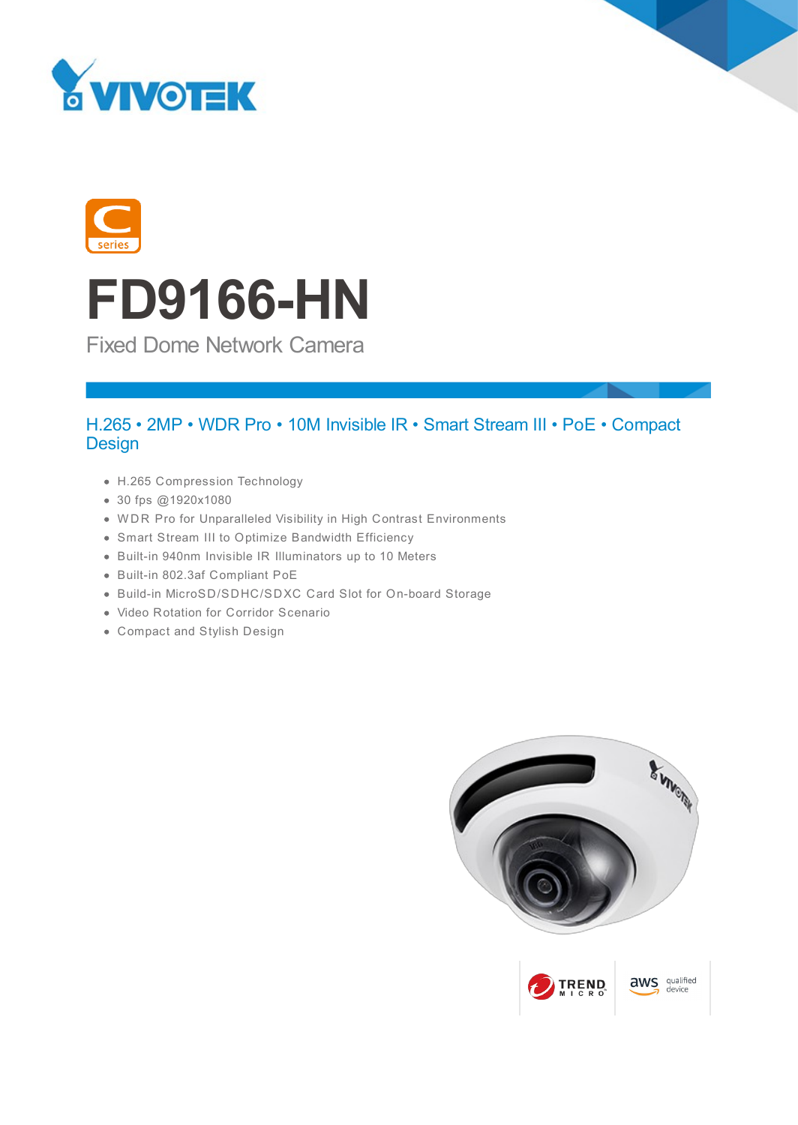





Fixed Dome Network Camera

### H.265 • 2MP • WDR Pro • 10M Invisible IR • Smart Stream III • PoE • Compact **Design**

- H.265 Compression Technology
- 30 fps @1920x1080
- W DR Pro for Unparalleled Visibility in High Contrast Environments
- Smart Stream III to Optimize Bandwidth Efficiency
- Built-in 940nm Invisible IR Illuminators up to 10 Meters
- Built-in 802.3af Compliant PoE
- Build-in MicroSD/SDHC/SDXC Card Slot for On-board Storage
- Video Rotation for Corridor Scenario
- Compact and Stylish Design

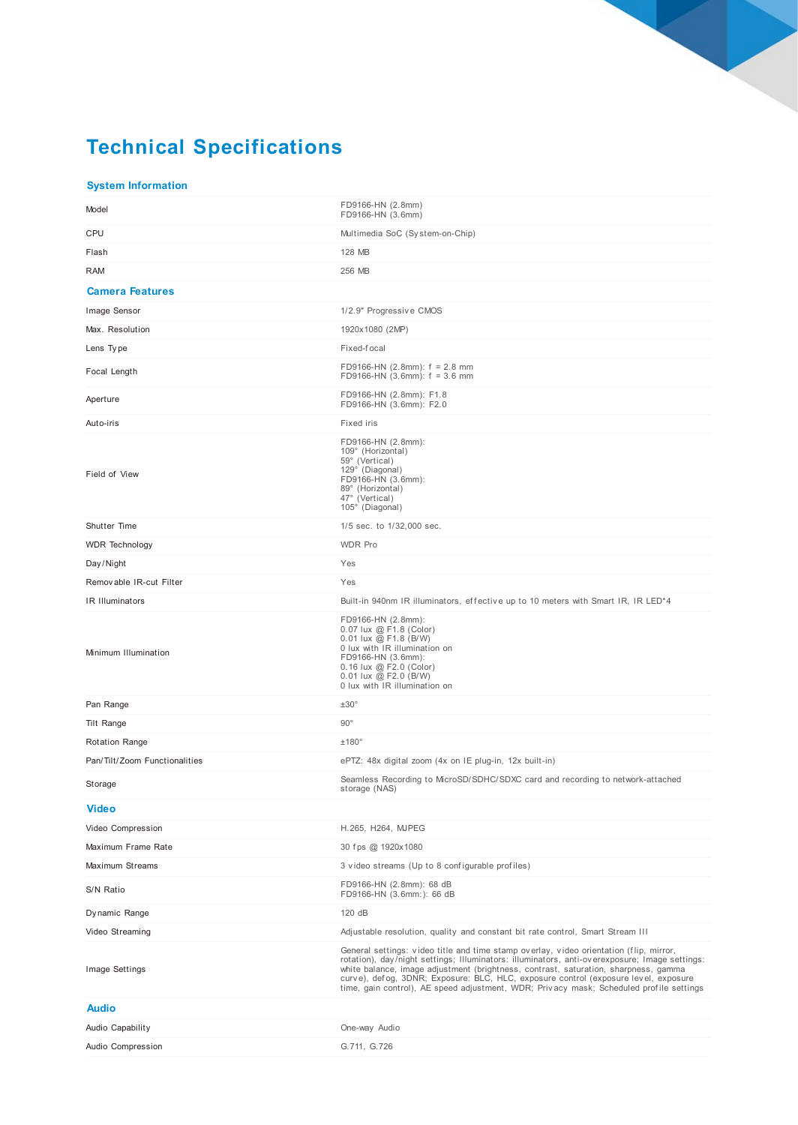# **Technical Specifications**

#### **System Information**

| Model                                   | FD9166-HN (2.8mm)<br>FD9166-HN (3.6mm)                                                                                                                                                                                                                                                                                                                                                                                                                           |
|-----------------------------------------|------------------------------------------------------------------------------------------------------------------------------------------------------------------------------------------------------------------------------------------------------------------------------------------------------------------------------------------------------------------------------------------------------------------------------------------------------------------|
| <b>CPU</b>                              | Multimedia SoC (System-on-Chip)                                                                                                                                                                                                                                                                                                                                                                                                                                  |
| Flash                                   | 128 MB                                                                                                                                                                                                                                                                                                                                                                                                                                                           |
| <b>RAM</b>                              | 256 MB                                                                                                                                                                                                                                                                                                                                                                                                                                                           |
| <b>Camera Features</b>                  |                                                                                                                                                                                                                                                                                                                                                                                                                                                                  |
| Image Sensor                            | 1/2.9" Progressive CMOS                                                                                                                                                                                                                                                                                                                                                                                                                                          |
| Max. Resolution                         | 1920x1080 (2MP)                                                                                                                                                                                                                                                                                                                                                                                                                                                  |
| Lens Type                               | Fixed-focal                                                                                                                                                                                                                                                                                                                                                                                                                                                      |
| Focal Length                            | FD9166-HN $(2.8mm)$ : f = 2.8 mm<br>FD9166-HN $(3.6$ mm $)$ : f = 3.6 mm                                                                                                                                                                                                                                                                                                                                                                                         |
| Aperture                                | FD9166-HN (2.8mm): F1.8<br>FD9166-HN (3.6mm): F2.0                                                                                                                                                                                                                                                                                                                                                                                                               |
| Auto-iris                               | Fixed iris                                                                                                                                                                                                                                                                                                                                                                                                                                                       |
| Field of View                           | FD9166-HN (2.8mm):<br>109° (Horizontal)<br>59° (Vertical)<br>129° (Diagonal)<br>FD9166-HN (3.6mm):<br>89° (Horizontal)<br>47° (Vertical)<br>105° (Diagonal)                                                                                                                                                                                                                                                                                                      |
| Shutter Time                            | 1/5 sec. to 1/32,000 sec.                                                                                                                                                                                                                                                                                                                                                                                                                                        |
| <b>WDR</b> Technology                   | <b>WDR Pro</b>                                                                                                                                                                                                                                                                                                                                                                                                                                                   |
| Day/Night                               | Yes                                                                                                                                                                                                                                                                                                                                                                                                                                                              |
| Removable IR-cut Filter                 | Yes                                                                                                                                                                                                                                                                                                                                                                                                                                                              |
| IR Illuminators<br>Minimum Illumination | Built-in 940nm IR illuminators, effective up to 10 meters with Smart IR, IR LED*4<br>FD9166-HN (2.8mm):<br>0.07 lux @ F1.8 (Color)<br>0.01 lux @ F1.8 (B/W)<br>0 lux with IR illumination on<br>FD9166-HN (3.6mm):<br>0.16 lux @ F2.0 (Color)<br>$0.01$ lux @ F2.0 (B/W)<br>0 lux with IR illumination on                                                                                                                                                        |
| Pan Range                               | ±30°                                                                                                                                                                                                                                                                                                                                                                                                                                                             |
| Tilt Range                              | $90^\circ$                                                                                                                                                                                                                                                                                                                                                                                                                                                       |
| <b>Rotation Range</b>                   | ±180°                                                                                                                                                                                                                                                                                                                                                                                                                                                            |
| Pan/Tilt/Zoom Functionalities           | ePTZ: 48x digital zoom (4x on IE plug-in, 12x built-in)                                                                                                                                                                                                                                                                                                                                                                                                          |
| Storage                                 | Seamless Recording to MicroSD/SDHC/SDXC card and recording to network-attached<br>storage (NAS)                                                                                                                                                                                                                                                                                                                                                                  |
| <b>Video</b>                            |                                                                                                                                                                                                                                                                                                                                                                                                                                                                  |
| Video Compression                       | H.265, H264, MJPEG                                                                                                                                                                                                                                                                                                                                                                                                                                               |
| Maximum Frame Rate                      | 30 fps @ 1920x1080                                                                                                                                                                                                                                                                                                                                                                                                                                               |
| Maximum Streams                         | 3 video streams (Up to 8 configurable profiles)                                                                                                                                                                                                                                                                                                                                                                                                                  |
| S/N Ratio                               | FD9166-HN (2.8mm): 68 dB<br>FD9166-HN (3.6mm:): 66 dB                                                                                                                                                                                                                                                                                                                                                                                                            |
| Dy namic Range                          | 120 dB                                                                                                                                                                                                                                                                                                                                                                                                                                                           |
| Video Streaming                         | Adjustable resolution, quality and constant bit rate control, Smart Stream III                                                                                                                                                                                                                                                                                                                                                                                   |
| Image Settings                          | General settings: video title and time stamp overlay, video orientation (flip, mirror,<br>rotation), day/night settings; Illuminators: illuminators, anti-overexposure; Image settings:<br>white balance, image adjustment (brightness, contrast, saturation, sharpness, gamma<br>curve), defog, 3DNR; Exposure: BLC, HLC, exposure control (exposure level, exposure<br>time, gain control), AE speed adjustment, WDR; Privacy mask; Scheduled profile settings |
| <b>Audio</b>                            |                                                                                                                                                                                                                                                                                                                                                                                                                                                                  |
| Audio Capability                        | One-way Audio                                                                                                                                                                                                                                                                                                                                                                                                                                                    |
| Audio Compression                       | G.711, G.726                                                                                                                                                                                                                                                                                                                                                                                                                                                     |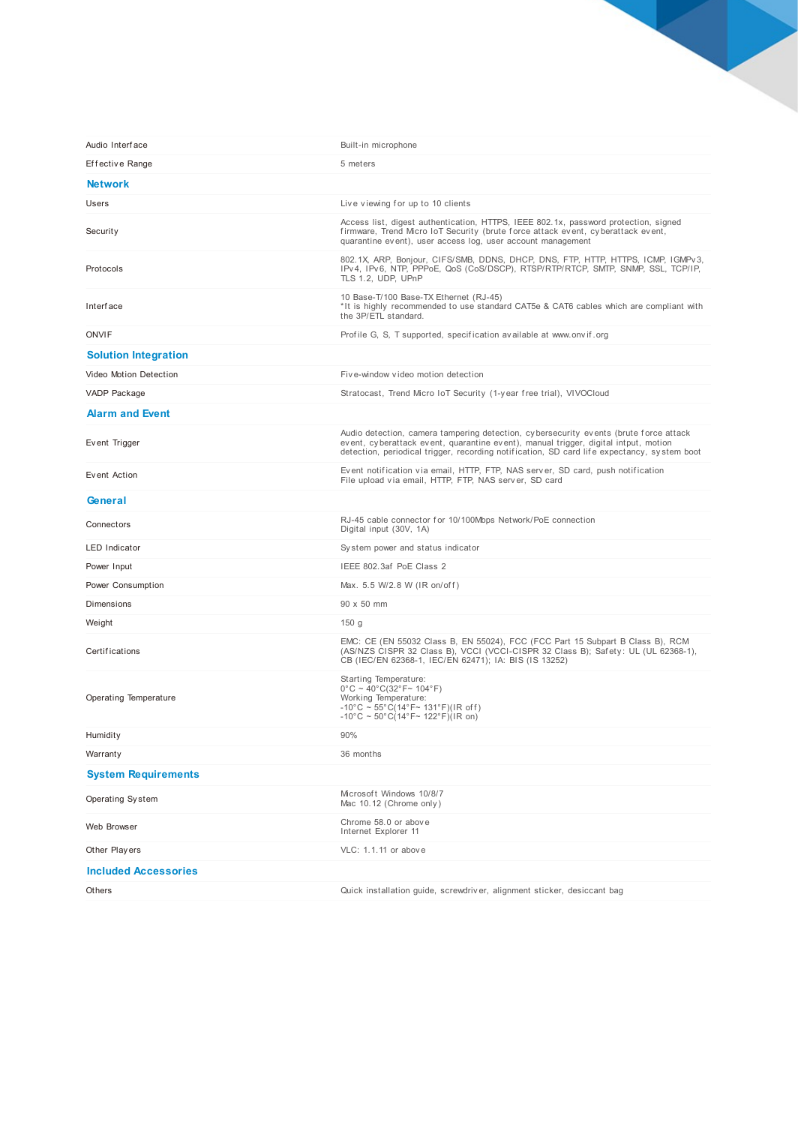| Audio Interface             | Built-in microphone                                                                                                                                                                                                                                                         |
|-----------------------------|-----------------------------------------------------------------------------------------------------------------------------------------------------------------------------------------------------------------------------------------------------------------------------|
| Effective Range             | 5 meters                                                                                                                                                                                                                                                                    |
| <b>Network</b>              |                                                                                                                                                                                                                                                                             |
| Users                       | Live viewing for up to 10 clients                                                                                                                                                                                                                                           |
| Security                    | Access list, digest authentication, HTTPS, IEEE 802.1x, password protection, signed<br>firmware, Trend Micro IoT Security (brute force attack event, cyberattack event,<br>quarantine event), user access log, user account management                                      |
| Protocols                   | 802.1X, ARP, Bonjour, CIFS/SMB, DDNS, DHCP, DNS, FTP, HTTP, HTTPS, ICMP, IGMPv3,<br>IPv4, IPv6, NTP, PPPoE, QoS (CoS/DSCP), RTSP/RTP/RTCP, SMTP, SNMP, SSL, TCP/IP,<br>TLS 1.2, UDP, UPnP                                                                                   |
| Interface                   | 10 Base-T/100 Base-TX Ethernet (RJ-45)<br>*It is highly recommended to use standard CAT5e & CAT6 cables which are compliant with<br>the 3P/ETL standard.                                                                                                                    |
| <b>ONVIF</b>                | Profile G, S, T supported, specification available at www.onvif.org                                                                                                                                                                                                         |
| <b>Solution Integration</b> |                                                                                                                                                                                                                                                                             |
| Video Motion Detection      | Five-window video motion detection                                                                                                                                                                                                                                          |
| VADP Package                | Stratocast, Trend Micro IoT Security (1-year free trial), VIVOCloud                                                                                                                                                                                                         |
| <b>Alarm and Event</b>      |                                                                                                                                                                                                                                                                             |
| Event Trigger               | Audio detection, camera tampering detection, cybersecurity events (brute force attack<br>event, cyberattack event, quarantine event), manual trigger, digital intput, motion<br>detection, periodical trigger, recording notification, SD card life expectancy, system boot |
| Event Action                | Event notification via email, HTTP, FTP, NAS server, SD card, push notification<br>File upload via email, HTTP, FTP, NAS server, SD card                                                                                                                                    |
| General                     |                                                                                                                                                                                                                                                                             |
| Connectors                  | RJ-45 cable connector for 10/100Mbps Network/PoE connection<br>Digital input (30V, 1A)                                                                                                                                                                                      |
| <b>LED Indicator</b>        | System power and status indicator                                                                                                                                                                                                                                           |
| Power Input                 | IEEE 802.3af PoE Class 2                                                                                                                                                                                                                                                    |
| Power Consumption           | Max. 5.5 W/2.8 W (IR on/off)                                                                                                                                                                                                                                                |
| Dimensions                  | 90 x 50 mm                                                                                                                                                                                                                                                                  |
| Weight                      | 150 <sub>g</sub>                                                                                                                                                                                                                                                            |
| Certifications              | EMC: CE (EN 55032 Class B, EN 55024), FCC (FCC Part 15 Subpart B Class B), RCM<br>(AS/NZS CISPR 32 Class B), VCCI (VCCI-CISPR 32 Class B); Safety: UL (UL 62368-1),<br>CB (IEC/EN 62368-1, IEC/EN 62471); IA: BIS (IS 13252)                                                |
| Operating Temperature       | Starting Temperature:<br>$0^{\circ}$ C ~ 40°C(32°F~ 104°F)<br>Working Temperature:<br>$-10^{\circ}$ C ~ 55°C(14°F~ 131°F)(IR off)<br>$-10^{\circ}$ C ~ 50°C(14°F~ 122°F)(IR on)                                                                                             |
| Humidity                    | 90%                                                                                                                                                                                                                                                                         |
| Warranty                    | 36 months                                                                                                                                                                                                                                                                   |
| <b>System Requirements</b>  |                                                                                                                                                                                                                                                                             |
| Operating System            | Microsoft Windows 10/8/7<br>Mac 10.12 (Chrome only)                                                                                                                                                                                                                         |
| Web Browser                 | Chrome 58.0 or above<br>Internet Explorer 11                                                                                                                                                                                                                                |
| Other Players               | VLC: 1.1.11 or above                                                                                                                                                                                                                                                        |
| <b>Included Accessories</b> |                                                                                                                                                                                                                                                                             |
| Others                      | Quick installation guide, screwdriver, alignment sticker, desiccant bag                                                                                                                                                                                                     |